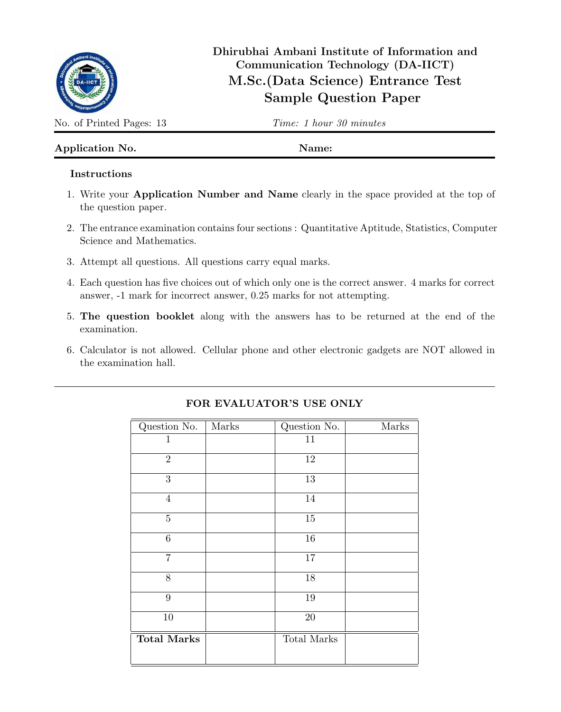

# Dhirubhai Ambani Institute of Information and Communication Technology (DA-IICT) M.Sc.(Data Science) Entrance Test Sample Question Paper

No. of Printed Pages: 13 Time: 1 hour 30 minutes

## Application No. Name:

### Instructions

- 1. Write your Application Number and Name clearly in the space provided at the top of the question paper.
- 2. The entrance examination contains four sections : Quantitative Aptitude, Statistics, Computer Science and Mathematics.
- 3. Attempt all questions. All questions carry equal marks.
- 4. Each question has five choices out of which only one is the correct answer. 4 marks for correct answer, -1 mark for incorrect answer, 0.25 marks for not attempting.
- 5. The question booklet along with the answers has to be returned at the end of the examination.
- 6. Calculator is not allowed. Cellular phone and other electronic gadgets are NOT allowed in the examination hall.

| Question No.       | Marks | Question No. | Marks |
|--------------------|-------|--------------|-------|
| $\mathbf{1}$       |       | 11           |       |
| $\overline{2}$     |       | 12           |       |
| 3                  |       | $13\,$       |       |
| $\overline{4}$     |       | 14           |       |
| $\bf 5$            |       | $15\,$       |       |
| $\sqrt{6}$         |       | $16\,$       |       |
| $\overline{7}$     |       | $17\,$       |       |
| 8                  |       | $18\,$       |       |
| $\boldsymbol{9}$   |       | $19\,$       |       |
| 10                 |       | $20\,$       |       |
| <b>Total Marks</b> |       | Total Marks  |       |

# FOR EVALUATOR'S USE ONLY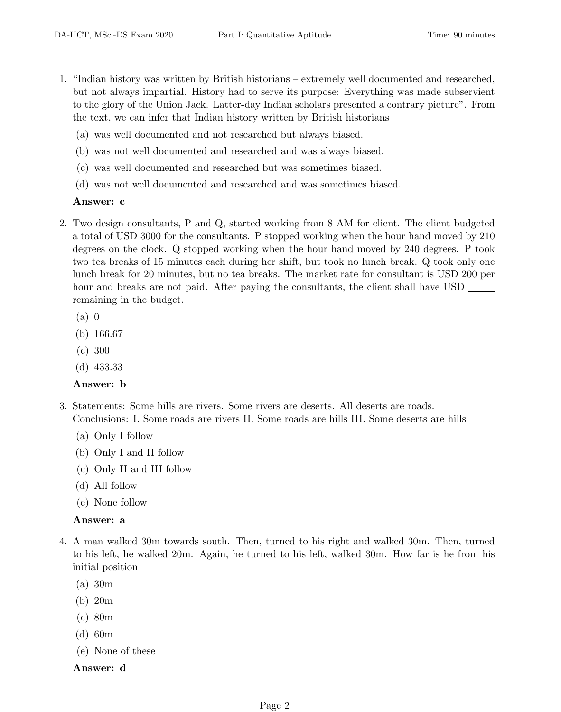- 1. "Indian history was written by British historians extremely well documented and researched, but not always impartial. History had to serve its purpose: Everything was made subservient to the glory of the Union Jack. Latter-day Indian scholars presented a contrary picture". From the text, we can infer that Indian history written by British historians
	- (a) was well documented and not researched but always biased.
	- (b) was not well documented and researched and was always biased.
	- (c) was well documented and researched but was sometimes biased.
	- (d) was not well documented and researched and was sometimes biased.

#### Answer: c

- 2. Two design consultants, P and Q, started working from 8 AM for client. The client budgeted a total of USD 3000 for the consultants. P stopped working when the hour hand moved by 210 degrees on the clock. Q stopped working when the hour hand moved by 240 degrees. P took two tea breaks of 15 minutes each during her shift, but took no lunch break. Q took only one lunch break for 20 minutes, but no tea breaks. The market rate for consultant is USD 200 per hour and breaks are not paid. After paying the consultants, the client shall have USD remaining in the budget.
	- (a) 0
	- (b) 166.67
	- (c) 300
	- (d) 433.33

#### Answer: b

- 3. Statements: Some hills are rivers. Some rivers are deserts. All deserts are roads. Conclusions: I. Some roads are rivers II. Some roads are hills III. Some deserts are hills
	- (a) Only I follow
	- (b) Only I and II follow
	- (c) Only II and III follow
	- (d) All follow
	- (e) None follow

#### Answer: a

- 4. A man walked 30m towards south. Then, turned to his right and walked 30m. Then, turned to his left, he walked 20m. Again, he turned to his left, walked 30m. How far is he from his initial position
	- (a) 30m
	- (b) 20m
	- (c) 80m
	- (d) 60m
	- (e) None of these

#### Answer: d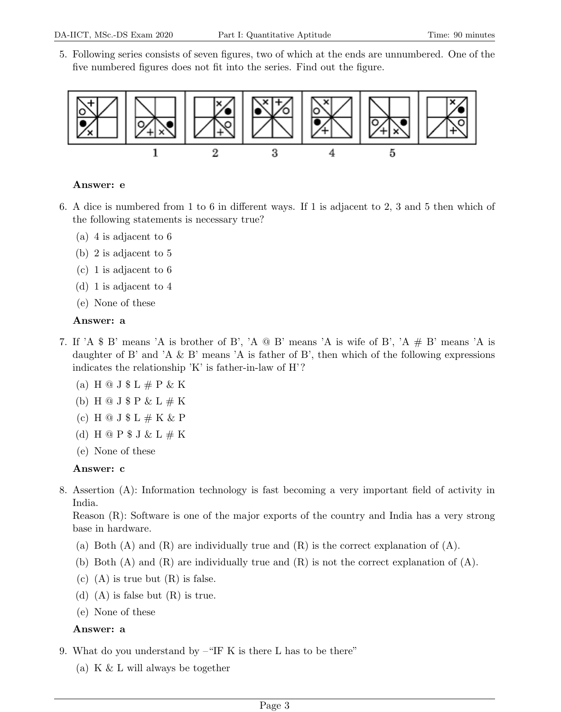5. Following series consists of seven figures, two of which at the ends are unnumbered. One of the five numbered figures does not fit into the series. Find out the figure.



#### Answer: e

- 6. A dice is numbered from 1 to 6 in different ways. If 1 is adjacent to 2, 3 and 5 then which of the following statements is necessary true?
	- (a) 4 is adjacent to 6
	- (b) 2 is adjacent to 5
	- (c) 1 is adjacent to 6
	- (d) 1 is adjacent to 4
	- (e) None of these

#### Answer: a

- 7. If 'A \$ B' means 'A is brother of B', 'A  $\circledcirc$  B' means 'A is wife of B', 'A  $\#$  B' means 'A is daughter of B' and 'A  $\&$  B' means 'A is father of B', then which of the following expressions indicates the relationship 'K' is father-in-law of H'?
	- (a) H  $\odot$  J  $\uparrow$  L  $\#$  P & K
	- (b) H  $\odot$  J  $\circ$  P & L  $\#$  K
	- (c) H  $\circledcirc$  J  $\circledast$  L  $\#$  K & P
	- (d) H  $\mathfrak{D}$  P  $\mathfrak{F}$  J & L  $\#$  K
	- (e) None of these

#### Answer: c

8. Assertion (A): Information technology is fast becoming a very important field of activity in India.

Reason (R): Software is one of the major exports of the country and India has a very strong base in hardware.

- (a) Both  $(A)$  and  $(R)$  are individually true and  $(R)$  is the correct explanation of  $(A)$ .
- (b) Both (A) and (R) are individually true and (R) is not the correct explanation of (A).
- (c)  $(A)$  is true but  $(R)$  is false.
- (d) (A) is false but  $(R)$  is true.
- (e) None of these

#### Answer: a

- 9. What do you understand by –"IF K is there L has to be there"
	- (a) K & L will always be together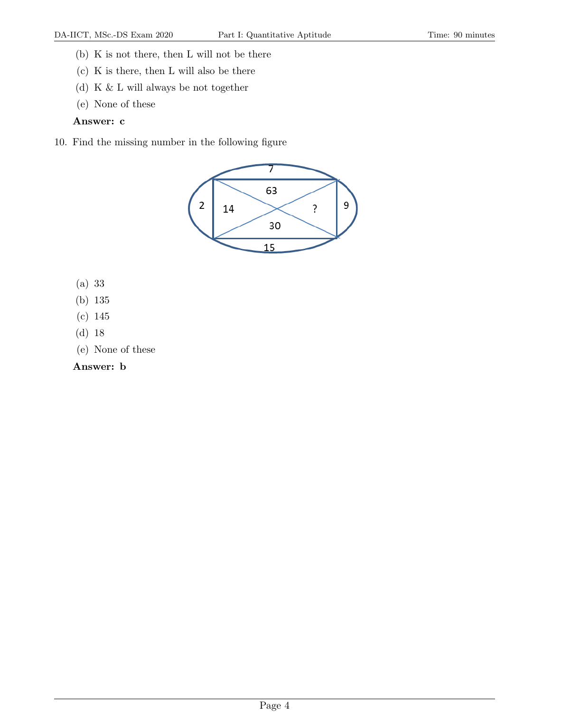- (b) K is not there, then L will not be there
- (c) K is there, then L will also be there
- (d) K & L will always be not together
- (e) None of these

#### Answer: c

10. Find the missing number in the following figure



- (a) 33
- (b) 135
- (c) 145
- (d) 18
- (e) None of these

### Answer: b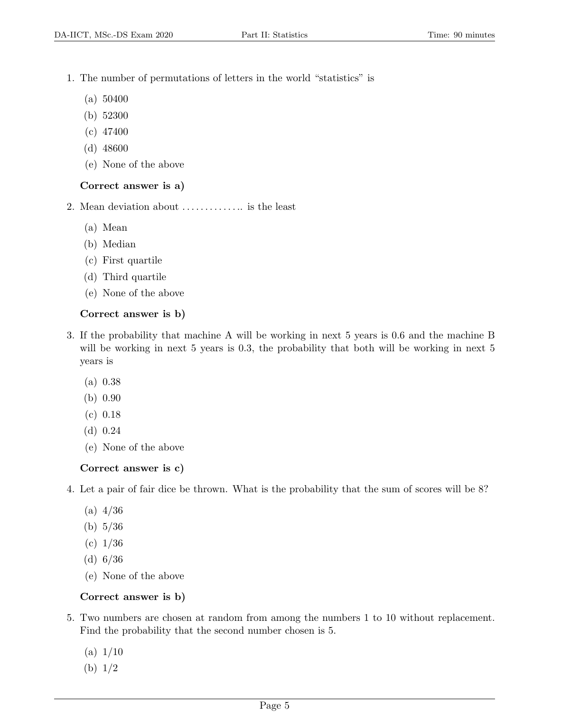- 1. The number of permutations of letters in the world "statistics" is
	- (a) 50400
	- (b) 52300
	- (c) 47400
	- (d) 48600
	- (e) None of the above

#### Correct answer is a)

- 2. Mean deviation about . . . . . . . . . . . . .. is the least
	- (a) Mean
	- (b) Median
	- (c) First quartile
	- (d) Third quartile
	- (e) None of the above

#### Correct answer is b)

- 3. If the probability that machine A will be working in next 5 years is 0.6 and the machine B will be working in next 5 years is 0.3, the probability that both will be working in next 5 years is
	- (a) 0.38
	- (b) 0.90
	- (c) 0.18
	- (d) 0.24
	- (e) None of the above

### Correct answer is c)

4. Let a pair of fair dice be thrown. What is the probability that the sum of scores will be 8?

- $(a)$  4/36
- (b) 5/36
- (c) 1/36
- (d) 6/36
- (e) None of the above

### Correct answer is b)

- 5. Two numbers are chosen at random from among the numbers 1 to 10 without replacement. Find the probability that the second number chosen is 5.
	- $(a) 1/10$
	- (b) 1/2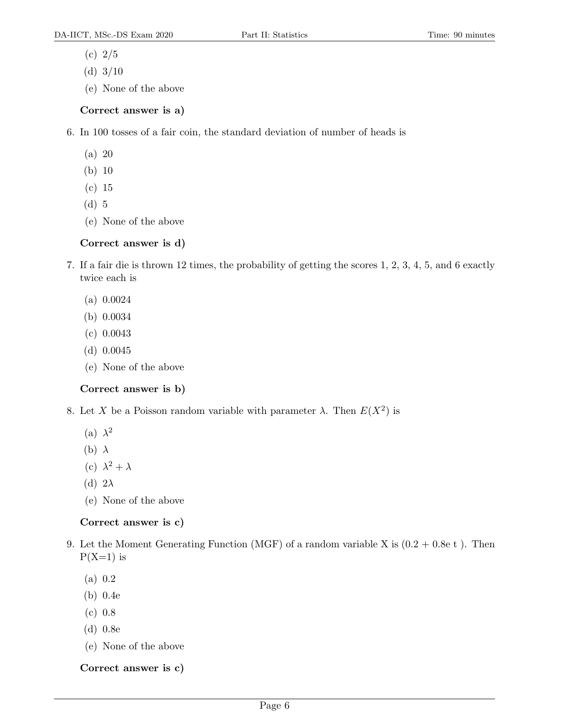- (c) 2/5
- (d)  $3/10$
- (e) None of the above

### Correct answer is a)

- 6. In 100 tosses of a fair coin, the standard deviation of number of heads is
	- (a) 20
	- (b) 10
	- (c) 15
	- (d) 5
	- (e) None of the above

### Correct answer is d)

- 7. If a fair die is thrown 12 times, the probability of getting the scores 1, 2, 3, 4, 5, and 6 exactly twice each is
	- (a) 0.0024
	- (b) 0.0034
	- (c) 0.0043
	- (d) 0.0045
	- (e) None of the above

### Correct answer is b)

- 8. Let X be a Poisson random variable with parameter  $\lambda$ . Then  $E(X^2)$  is
	- (a)  $\lambda^2$
	- (b)  $\lambda$
	- (c)  $\lambda^2 + \lambda$
	- (d)  $2\lambda$
	- (e) None of the above

### Correct answer is c)

- 9. Let the Moment Generating Function (MGF) of a random variable X is  $(0.2 + 0.8e t)$ . Then  $P(X=1)$  is
	- (a) 0.2
	- (b) 0.4e
	- (c) 0.8
	- (d) 0.8e
	- (e) None of the above

Correct answer is c)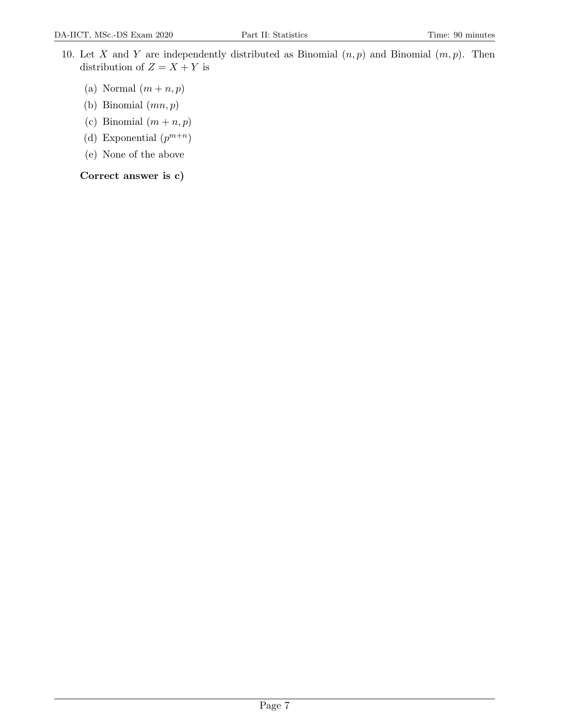- 10. Let X and Y are independently distributed as Binomial  $(n, p)$  and Binomial  $(m, p)$ . Then distribution of  $Z = X + Y$  is
	- (a) Normal  $(m + n, p)$
	- (b) Binomial  $(mn, p)$
	- (c) Binomial  $(m + n, p)$
	- (d) Exponential  $(p^{m+n})$
	- (e) None of the above

Correct answer is c)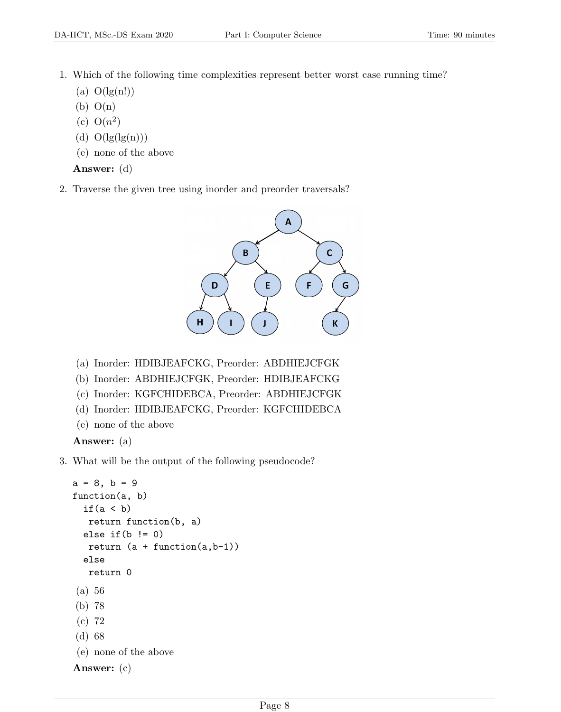- 1. Which of the following time complexities represent better worst case running time?
	- (a)  $O(\lg(n!))$
	- $(b)$   $O(n)$
	- (c)  $O(n^2)$
	- (d)  $O(\lg(\lg(n)))$
	- (e) none of the above

Answer: (d)

2. Traverse the given tree using inorder and preorder traversals?



- (a) Inorder: HDIBJEAFCKG, Preorder: ABDHIEJCFGK
- (b) Inorder: ABDHIEJCFGK, Preorder: HDIBJEAFCKG
- (c) Inorder: KGFCHIDEBCA, Preorder: ABDHIEJCFGK
- (d) Inorder: HDIBJEAFCKG, Preorder: KGFCHIDEBCA
- (e) none of the above

Answer: (a)

3. What will be the output of the following pseudocode?

```
a = 8, b = 9function(a, b)
  if(a < b)
   return function(b, a)
  else if(b != 0)return (a + function(a,b-1))
  else
   return 0
(a) 56
(b) 78
(c) 72
(d) 68
(e) none of the above
Answer: (c)
```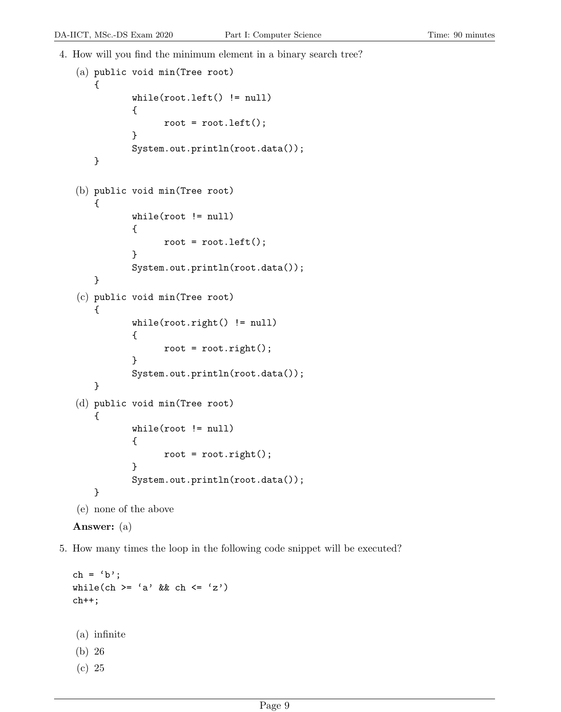4. How will you find the minimum element in a binary search tree?

```
(a) public void min(Tree root)
    {
           while(root.left() != null)
           {
                 root = root.left();
           }
           System.out.println(root.data());
    }
(b) public void min(Tree root)
    {
           while(root != null)
           {
                 root = root.left();
           }
           System.out.println(root.data());
    }
(c) public void min(Tree root)
    {
           while(root.right() != null){
                 root = root.right();
           }
           System.out.println(root.data());
    }
(d) public void min(Tree root)
    {
           while(root != null)
           {
                 root = root.right();
           }
           System.out.println(root.data());
    }
(e) none of the above
Answer: (a)
```
5. How many times the loop in the following code snippet will be executed?

```
ch = 'b';while(ch >= 'a' && ch <= 'z')
ch++;
(a) infinite
(b) 26
(c) 25
```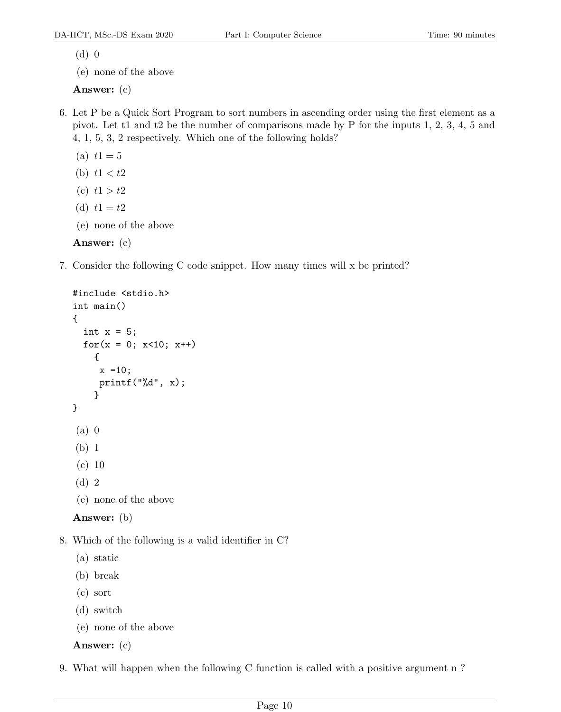(d) 0

(e) none of the above

Answer: (c)

- 6. Let P be a Quick Sort Program to sort numbers in ascending order using the first element as a pivot. Let t1 and t2 be the number of comparisons made by P for the inputs 1, 2, 3, 4, 5 and 4, 1, 5, 3, 2 respectively. Which one of the following holds?
	- (a)  $t1 = 5$
	- (b)  $t1 < t2$
	- (c)  $t1 > t2$
	- (d)  $t1 = t2$
	- (e) none of the above

## Answer: (c)

7. Consider the following C code snippet. How many times will x be printed?

```
#include <stdio.h>
  int main()
  {
     int x = 5;
     for(x = 0; x < 10; x++)
       {
        x = 10;printf("%d", x);
       }
  }
   (a) 0
   (b) 1
   (c) 10
   (d) 2
   (e) none of the above
  Answer: (b)
8. Which of the following is a valid identifier in C?
   (a) static
```
- (b) break
- (c) sort
- (d) switch
- (e) none of the above

Answer: (c)

9. What will happen when the following C function is called with a positive argument n ?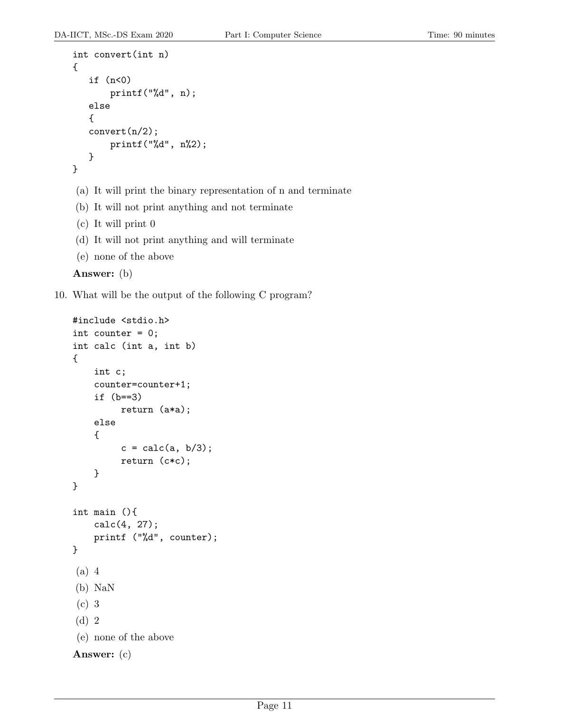```
int convert(int n)
{
   if (n<0)printf("%d", n);
   else
   {
   convert(n/2);
       printf("%d", n%2);
   }
}
```

```
(a) It will print the binary representation of n and terminate
```
- (b) It will not print anything and not terminate
- (c) It will print 0
- (d) It will not print anything and will terminate
- (e) none of the above

```
Answer: (b)
```
10. What will be the output of the following C program?

```
#include <stdio.h>
int counter = 0;
int calc (int a, int b)
{
    int c;
    counter=counter+1;
    if (b==3)
         return (a*a);
    else
    {
         c = calc(a, b/3);return (c*c);
    }
}
int main (){
    calc(4, 27);
    printf ("%d", counter);
}
(a) 4
(b) NaN
(c) 3
(d) 2
(e) none of the above
Answer: (c)
```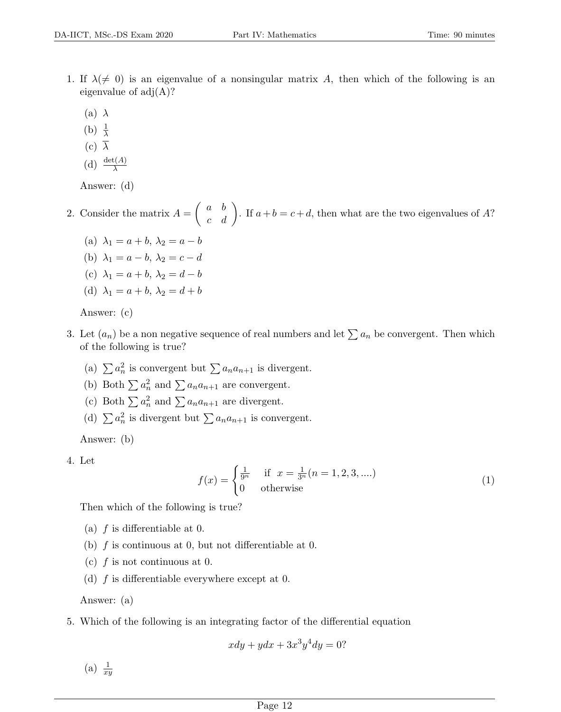- 1. If  $\lambda(\neq 0)$  is an eigenvalue of a nonsingular matrix A, then which of the following is an eigenvalue of  $adj(A)$ ?
	- (a)  $\lambda$
	- (b)  $\frac{1}{\lambda}$
	- (c)  $\overline{\lambda}$
	- (d)  $\frac{\det(A)}{\lambda}$

Answer: (d)

2. Consider the matrix  $A = \begin{pmatrix} a & b \\ c & d \end{pmatrix}$ . If  $a+b = c+d$ , then what are the two eigenvalues of A?

- (a)  $\lambda_1 = a + b, \lambda_2 = a b$
- (b)  $\lambda_1 = a b, \lambda_2 = c d$
- (c)  $\lambda_1 = a + b$ ,  $\lambda_2 = d b$
- (d)  $\lambda_1 = a + b, \lambda_2 = d + b$

Answer: (c)

- 3. Let  $(a_n)$  be a non negative sequence of real numbers and let  $\sum a_n$  be convergent. Then which of the following is true?
	- (a)  $\sum a_n^2$  is convergent but  $\sum a_n a_{n+1}$  is divergent.
	- (b) Both  $\sum a_n^2$  and  $\sum a_n a_{n+1}$  are convergent.
	- (c) Both  $\sum a_n^2$  and  $\sum a_n a_{n+1}$  are divergent.
	- (d)  $\sum a_n^2$  is divergent but  $\sum a_n a_{n+1}$  is convergent.

Answer: (b)

4. Let

$$
f(x) = \begin{cases} \frac{1}{9^n} & \text{if } x = \frac{1}{3^n} (n = 1, 2, 3, ....) \\ 0 & \text{otherwise} \end{cases}
$$
 (1)

Then which of the following is true?

- (a)  $f$  is differentiable at 0.
- (b)  $f$  is continuous at 0, but not differentiable at 0.
- (c)  $f$  is not continuous at 0.
- (d)  $f$  is differentiable everywhere except at 0.

Answer: (a)

5. Which of the following is an integrating factor of the differential equation

 $xdy + ydx + 3x^3y^4dy = 0?$ 

(a)  $\frac{1}{xy}$